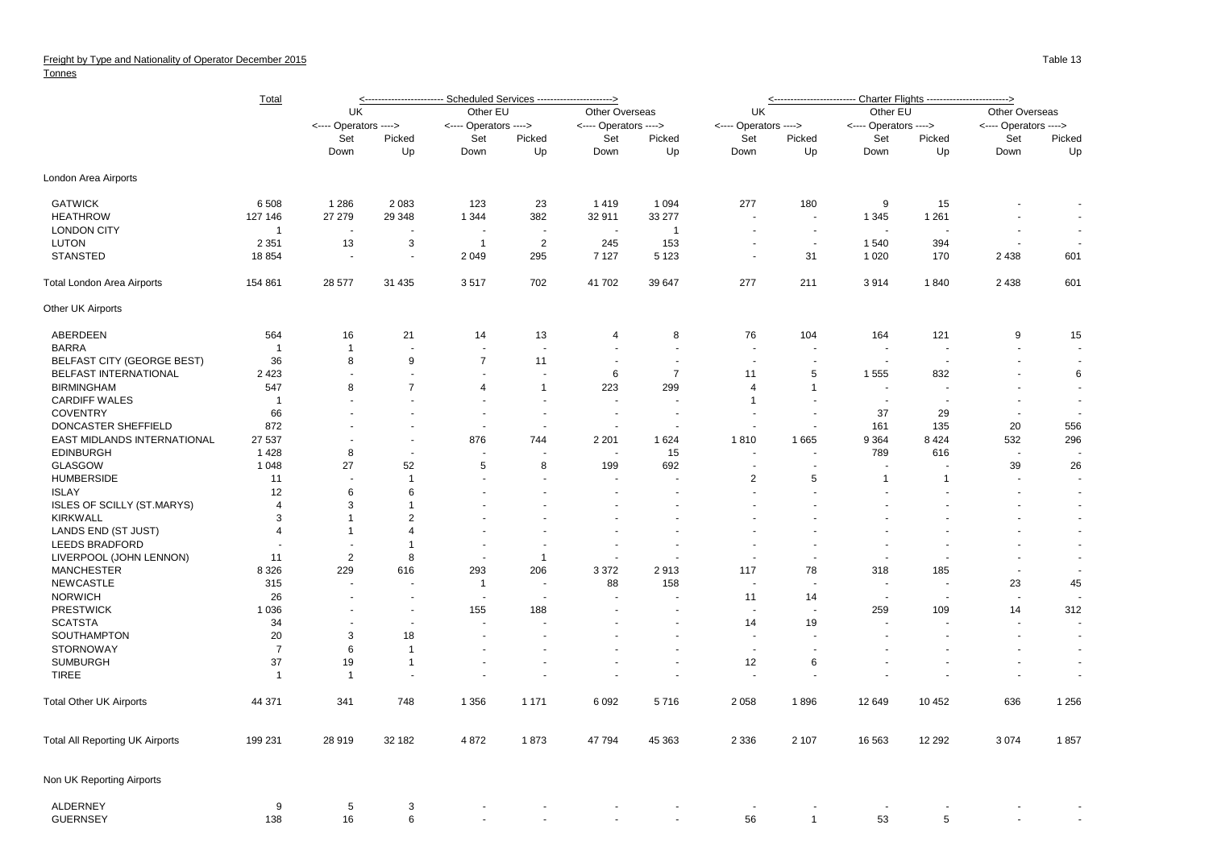## **Tonnes**

|                                   | Total          | <----------------------- Scheduled Services ----------------------> |                          |                          |                          |                          |                |                          |                          |                          |                      |                       |                          |    |
|-----------------------------------|----------------|---------------------------------------------------------------------|--------------------------|--------------------------|--------------------------|--------------------------|----------------|--------------------------|--------------------------|--------------------------|----------------------|-----------------------|--------------------------|----|
|                                   |                | UK                                                                  |                          | Other EU                 |                          | Other Overseas           |                | UK                       |                          | Other EU                 |                      | Other Overseas        |                          |    |
|                                   |                | <---- Operators ---->                                               |                          | <---- Operators ---->    |                          | <---- Operators ---->    |                | <---- Operators ---->    |                          | <---- Operators ---->    |                      | <---- Operators ----> |                          |    |
|                                   |                | Set                                                                 | Picked                   | Set                      | Picked                   | Set                      | Picked         | Set                      | Picked                   | Set                      | Picked               | Set                   | Picked                   |    |
|                                   |                |                                                                     | Down                     | Up                       | Down                     | Up                       | Down           | Up                       | Down                     | Up                       | Down                 | Up                    | Down                     | Up |
| London Area Airports              |                |                                                                     |                          |                          |                          |                          |                |                          |                          |                          |                      |                       |                          |    |
| <b>GATWICK</b>                    | 6 5 0 8        | 1 2 8 6                                                             | 2 0 8 3                  | 123                      | 23                       | 1419                     | 1 0 9 4        | 277                      | 180                      | 9                        | 15                   |                       | $\overline{\phantom{a}}$ |    |
| <b>HEATHROW</b>                   | 127 146        | 27 27 9                                                             | 29 348                   | 1 3 4 4                  | 382                      | 32 911                   | 33 277         | $\overline{\phantom{a}}$ | $\overline{\phantom{a}}$ | 1 3 4 5                  | 1 2 6 1              |                       | $\blacksquare$           |    |
| <b>LONDON CITY</b>                | -1             | $\overline{\phantom{a}}$                                            |                          |                          | $\overline{\phantom{a}}$ | $\overline{\phantom{a}}$ | $\overline{1}$ | $\overline{\phantom{a}}$ | $\sim$                   |                          | $\blacksquare$       |                       |                          |    |
| <b>LUTON</b>                      | 2 3 5 1        | 13                                                                  | 3                        | $\overline{1}$           | 2                        | 245                      | 153            | $\overline{\phantom{a}}$ | $\overline{\phantom{a}}$ | 1540                     | 394                  |                       |                          |    |
| <b>STANSTED</b>                   | 18 8 54        | $\overline{\phantom{a}}$                                            | $\sim$                   | 2 0 4 9                  | 295                      | 7 1 2 7                  | 5 1 2 3        | $\overline{\phantom{a}}$ | 31                       | 1 0 2 0                  | 170                  | 2 4 3 8               | 601                      |    |
| Total London Area Airports        | 154 861        | 28 577                                                              | 31 4 35                  | 3517                     | 702                      | 41 702                   | 39 647         | 277                      | 211                      | 3914                     | 1840                 | 2 4 3 8               | 601                      |    |
| Other UK Airports                 |                |                                                                     |                          |                          |                          |                          |                |                          |                          |                          |                      |                       |                          |    |
| ABERDEEN                          | 564            | 16                                                                  | 21                       | 14                       | 13                       | $\overline{4}$           | 8              | 76                       | 104                      | 164                      | 121                  | 9                     | 15                       |    |
| <b>BARRA</b>                      | -1             | $\overline{1}$                                                      |                          | $\overline{\phantom{a}}$ |                          |                          |                |                          |                          |                          | ÷,                   |                       |                          |    |
| BELFAST CITY (GEORGE BEST)        | 36             | 8                                                                   | 9                        | $\overline{7}$           | 11                       |                          |                |                          | ä,                       |                          |                      |                       | $\sim$                   |    |
| BELFAST INTERNATIONAL             | 2 4 2 3        | $\overline{\phantom{a}}$                                            | $\sim$                   | $\overline{\phantom{a}}$ | $\overline{\phantom{a}}$ | 6                        | $\overline{7}$ | 11                       | 5                        | 1 5 5 5                  | 832                  |                       | 6                        |    |
| <b>BIRMINGHAM</b>                 | 547            | 8                                                                   | $\overline{7}$           | $\overline{4}$           | $\mathbf{1}$             | 223                      | 299            | 4                        | 1                        |                          |                      |                       | $\overline{\phantom{a}}$ |    |
|                                   |                |                                                                     |                          |                          |                          |                          |                |                          |                          |                          |                      |                       |                          |    |
| <b>CARDIFF WALES</b>              | $\mathbf 1$    |                                                                     |                          |                          |                          |                          |                | $\mathbf{1}$             |                          |                          |                      |                       | $\sim$                   |    |
| <b>COVENTRY</b>                   | 66             |                                                                     | $\overline{\phantom{a}}$ | $\overline{\phantom{a}}$ | $\overline{\phantom{a}}$ | $\overline{\phantom{a}}$ |                |                          | $\sim$                   | 37                       | 29                   | $\sim$                |                          |    |
| DONCASTER SHEFFIELD               | 872            |                                                                     | $\sim$                   | $\overline{\phantom{a}}$ |                          |                          |                |                          | $\sim$                   | 161                      | 135                  | 20                    | 556                      |    |
| EAST MIDLANDS INTERNATIONAL       | 27 537         |                                                                     | ÷.                       | 876                      | 744                      | 2 2 0 1                  | 1624           | 1810                     | 1665                     | 9 3 6 4                  | 8424                 | 532                   | 296                      |    |
| <b>EDINBURGH</b>                  | 1428           | 8                                                                   | $\overline{\phantom{a}}$ | $\overline{\phantom{a}}$ |                          | ÷.                       | 15             | $\overline{a}$           | ÷.                       | 789                      | 616                  | ÷.                    |                          |    |
| GLASGOW                           | 1 0 4 8        | 27                                                                  | 52                       | 5                        | 8                        | 199                      | 692            | $\sim$                   | ä,                       |                          |                      | 39                    | 26                       |    |
| <b>HUMBERSIDE</b>                 | 11             |                                                                     | $\mathbf{1}$             |                          |                          |                          |                | $\overline{2}$           | 5                        | $\mathbf{1}$             | $\overline{1}$       |                       |                          |    |
| <b>ISLAY</b>                      | 12             | 6                                                                   | 6                        | $\overline{\phantom{a}}$ |                          |                          |                | $\sim$                   | ÷.                       |                          |                      |                       | $\blacksquare$           |    |
| <b>ISLES OF SCILLY (ST.MARYS)</b> | 4              | 3                                                                   | $\mathbf{1}$             |                          | $\sim$                   |                          |                | $\overline{a}$           | ÷.                       |                          | $\ddot{\phantom{1}}$ | $\overline{a}$        | $\blacksquare$           |    |
| <b>KIRKWALL</b>                   | 3              | $\overline{1}$                                                      | $\overline{2}$           |                          |                          |                          |                |                          |                          |                          |                      |                       | $\blacksquare$           |    |
| LANDS END (ST JUST)               | $\overline{4}$ | $\overline{1}$                                                      | 4                        |                          |                          |                          |                |                          |                          |                          |                      |                       | $\blacksquare$           |    |
| LEEDS BRADFORD                    |                | $\sim$                                                              | $\mathbf{1}$             | $\sim$                   |                          | $\overline{a}$           |                | $\sim$                   | ÷.                       | $\overline{a}$           | ÷.                   |                       | $\sim$                   |    |
| LIVERPOOL (JOHN LENNON)           | 11             | $\overline{2}$                                                      | 8                        |                          | $\mathbf{1}$             |                          |                |                          |                          |                          |                      |                       | $\blacksquare$           |    |
| <b>MANCHESTER</b>                 | 8 3 2 6        | 229                                                                 | 616                      | 293                      | 206                      | 3 3 7 2                  | 2913           | 117                      | 78                       | 318                      | 185                  |                       |                          |    |
| <b>NEWCASTLE</b>                  |                | $\overline{\phantom{a}}$                                            |                          | $\overline{1}$           |                          | 88                       | 158            | $\overline{a}$           | $\overline{a}$           |                          | $\overline{a}$       | 23                    | 45                       |    |
|                                   | 315            |                                                                     |                          |                          |                          |                          |                |                          |                          |                          |                      |                       |                          |    |
| <b>NORWICH</b>                    | 26             |                                                                     |                          |                          |                          |                          |                | 11                       | 14                       |                          |                      |                       |                          |    |
| <b>PRESTWICK</b>                  | 1 0 3 6        |                                                                     | $\sim$                   | 155                      | 188                      |                          |                |                          | $\overline{a}$           | 259                      | 109                  | 14                    | 312                      |    |
| <b>SCATSTA</b>                    | 34             | $\overline{\phantom{a}}$                                            | $\sim$                   | $\overline{\phantom{a}}$ |                          |                          |                | 14                       | 19                       |                          |                      |                       |                          |    |
| SOUTHAMPTON                       | 20             | 3                                                                   | 18                       |                          |                          |                          |                | ÷.                       |                          |                          |                      |                       | $\blacksquare$           |    |
| <b>STORNOWAY</b>                  | $\overline{7}$ | 6                                                                   | $\mathbf{1}$             | $\overline{\phantom{a}}$ |                          |                          |                | ÷.                       | $\ddot{\phantom{0}}$     |                          |                      |                       | $\blacksquare$           |    |
| <b>SUMBURGH</b>                   | 37             | 19                                                                  | $\mathbf{1}$             | $\sim$                   |                          |                          |                | 12                       | 6                        |                          | $\ddot{\phantom{1}}$ | $\overline{a}$        | $\sim$                   |    |
| <b>TIREE</b>                      | $\mathbf{1}$   | $\overline{1}$                                                      | $\sim$                   | $\overline{\phantom{a}}$ |                          | ÷,                       |                | $\sim$                   | ÷,                       |                          |                      | $\blacksquare$        | $\overline{a}$           |    |
| <b>Total Other UK Airports</b>    | 44 371         | 341                                                                 | 748                      | 1 3 5 6                  | 1 1 7 1                  | 6 0 9 2                  | 5716           | 2 0 5 8                  | 1896                     | 12 649                   | 10 452               | 636                   | 1 2 5 6                  |    |
| Total All Reporting UK Airports   | 199 231        | 28 919                                                              | 32 182                   | 4 8 7 2                  | 1873                     | 47 794                   | 45 363         | 2 3 3 6                  | 2 107                    | 16 563                   | 12 29 2              | 3 0 7 4               | 1857                     |    |
| Non UK Reporting Airports         |                |                                                                     |                          |                          |                          |                          |                |                          |                          |                          |                      |                       |                          |    |
| ALDERNEY                          | 9              | 5                                                                   | 3                        |                          |                          |                          |                | $\overline{\phantom{a}}$ |                          | $\overline{\phantom{a}}$ |                      |                       |                          |    |
| <b>GUERNSEY</b>                   | 138            | 16                                                                  | 6                        |                          |                          |                          |                | 56                       | $\mathbf{1}$             | 53                       | 5                    |                       |                          |    |